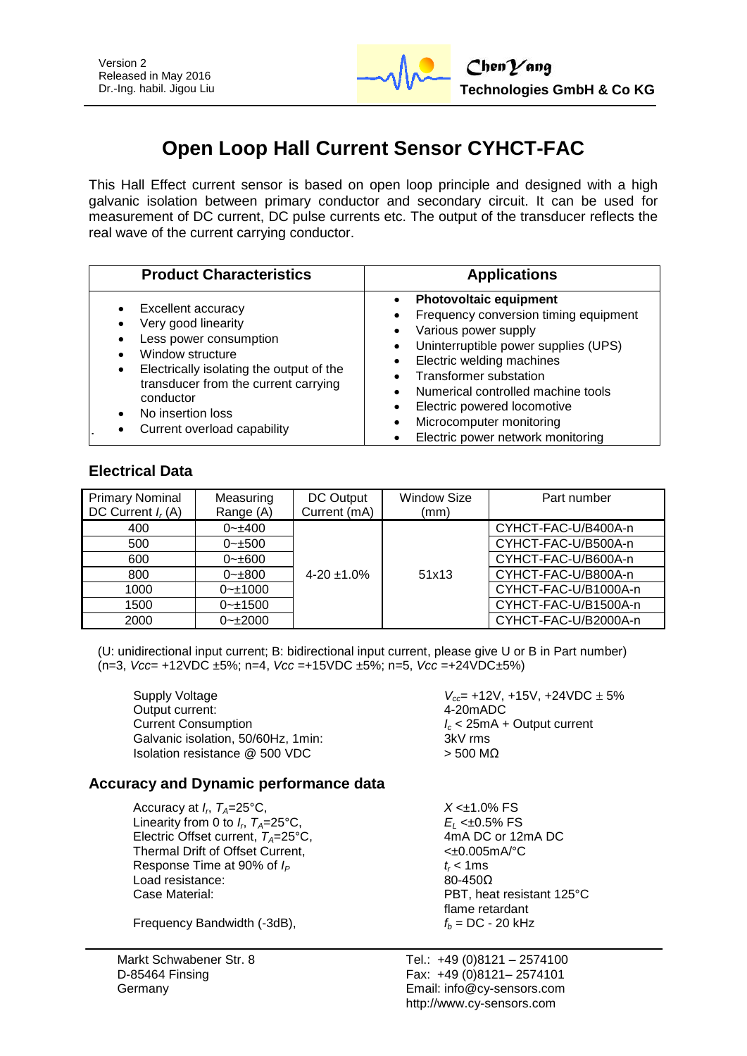

# **Open Loop Hall Current Sensor CYHCT-FAC**

This Hall Effect current sensor is based on open loop principle and designed with a high galvanic isolation between primary conductor and secondary circuit. It can be used for measurement of DC current, DC pulse currents etc. The output of the transducer reflects the real wave of the current carrying conductor.

| <b>Product Characteristics</b>                                                                                                                                                                                                                           | <b>Applications</b>                                                                                                                                                                                                                                                                                                                             |
|----------------------------------------------------------------------------------------------------------------------------------------------------------------------------------------------------------------------------------------------------------|-------------------------------------------------------------------------------------------------------------------------------------------------------------------------------------------------------------------------------------------------------------------------------------------------------------------------------------------------|
| <b>Excellent accuracy</b><br>Very good linearity<br>Less power consumption<br>Window structure<br>Electrically isolating the output of the<br>٠<br>transducer from the current carrying<br>conductor<br>No insertion loss<br>Current overload capability | <b>Photovoltaic equipment</b><br>Frequency conversion timing equipment<br>Various power supply<br>Uninterruptible power supplies (UPS)<br>٠<br>Electric welding machines<br><b>Transformer substation</b><br>Numerical controlled machine tools<br>Electric powered locomotive<br>Microcomputer monitoring<br>Electric power network monitoring |

# **Electrical Data**

| <b>Primary Nominal</b><br>DC Current $I_r(A)$ | Measuring<br>Range (A) | DC Output<br>Current (mA) | <b>Window Size</b><br>(mm) | Part number          |
|-----------------------------------------------|------------------------|---------------------------|----------------------------|----------------------|
| 400                                           | $0 - 400$              |                           |                            | CYHCT-FAC-U/B400A-n  |
| 500                                           | $0 - \pm 500$          |                           |                            | CYHCT-FAC-U/B500A-n  |
| 600                                           | $0 - \pm 600$          |                           |                            | CYHCT-FAC-U/B600A-n  |
| 800                                           | $0 - \pm 800$          | $4-20 \pm 1.0\%$          | 51x13                      | CYHCT-FAC-U/B800A-n  |
| 1000                                          | $0 - 1000$             |                           |                            | CYHCT-FAC-U/B1000A-n |
| 1500                                          | $0 - 1500$             |                           |                            | CYHCT-FAC-U/B1500A-n |
| 2000                                          | $0 - 2000$             |                           |                            | CYHCT-FAC-U/B2000A-n |

(U: unidirectional input current; B: bidirectional input current, please give U or B in Part number) (n=3, *Vcc*= +12VDC ±5%; n=4, *Vcc* =+15VDC ±5%; n=5, *Vcc* =+24VDC±5%)

Output current: 4-20mADC Current Consumption *I<sup>c</sup>* < 25mA + Output current Galvanic isolation, 50/60Hz, 1min; Isolation resistance  $@$  500 VDC  $>$  500 MΩ

Supply Voltage *V*<sub>cc</sub> = +12V, +15V, +24VDC  $\pm$  5%

# **Accuracy and Dynamic performance data**

Accuracy at  $I_r$ ,  $T_A = 25$ °C, Linearity from 0 to  $I_r$ ,  $T_A = 25^\circ \text{C}$ , Electric Offset current,  $T_A = 25^{\circ}$ C, 4mA DC or 12mA DC or 12mA DC or 12mA DC or 12mA PC Thermal Drift of Offset Current, Response Time at 90% of  $I_P$  *t<sub>r</sub>* < 1ms Load resistance: 80-450Ω Case Material: PBT, heat resistant 125°C

Frequency Bandwidth  $(-3dB)$ ,  $f_b = DC - 20 kHz$ 

Markt Schwabener Str. 8 D-85464 Finsing Germany

 $X < \pm 1.0\%$  FS *E*<sub>L</sub> <±0.5% FS<br>4mA DC or 12mA DC flame retardant

Tel.: +49 (0)8121 – 2574100 Fax: +49 (0)8121– 2574101 Email: info@cy-sensors.com http://www.cy-sensors.com